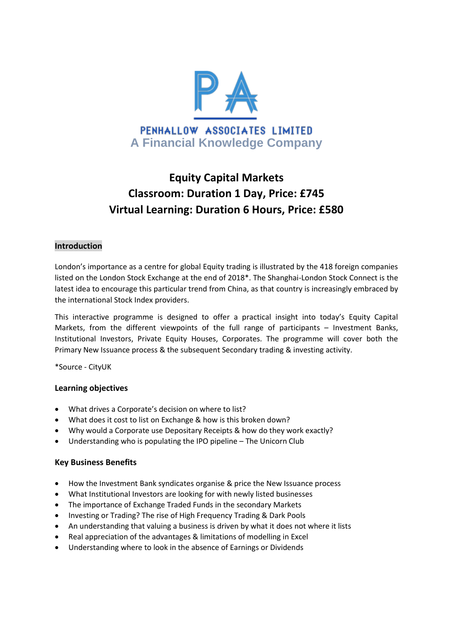

# **Equity Capital Markets Classroom: Duration 1 Day, Price: £745 Virtual Learning: Duration 6 Hours, Price: £580**

# **Introduction**

London's importance as a centre for global Equity trading is illustrated by the 418 foreign companies listed on the London Stock Exchange at the end of 2018\*. The Shanghai-London Stock Connect is the latest idea to encourage this particular trend from China, as that country is increasingly embraced by the international Stock Index providers.

This interactive programme is designed to offer a practical insight into today's Equity Capital Markets, from the different viewpoints of the full range of participants – Investment Banks, Institutional Investors, Private Equity Houses, Corporates. The programme will cover both the Primary New Issuance process & the subsequent Secondary trading & investing activity.

\*Source - CityUK

# **Learning objectives**

- What drives a Corporate's decision on where to list?
- What does it cost to list on Exchange & how is this broken down?
- Why would a Corporate use Depositary Receipts & how do they work exactly?
- Understanding who is populating the IPO pipeline The Unicorn Club

# **Key Business Benefits**

- How the Investment Bank syndicates organise & price the New Issuance process
- What Institutional Investors are looking for with newly listed businesses
- The importance of Exchange Traded Funds in the secondary Markets
- Investing or Trading? The rise of High Frequency Trading & Dark Pools
- An understanding that valuing a business is driven by what it does not where it lists
- Real appreciation of the advantages & limitations of modelling in Excel
- Understanding where to look in the absence of Earnings or Dividends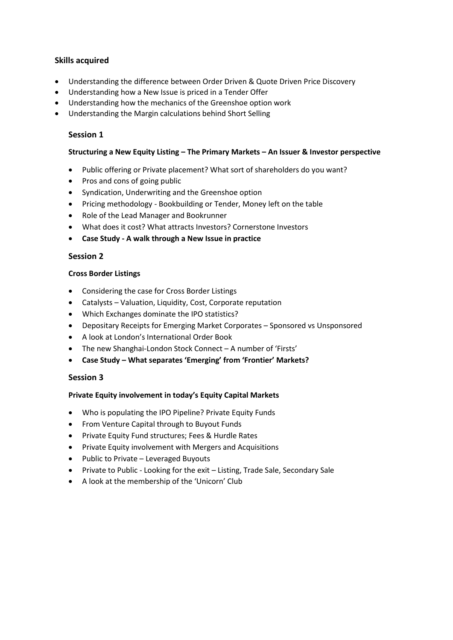# **Skills acquired**

- Understanding the difference between Order Driven & Quote Driven Price Discovery
- Understanding how a New Issue is priced in a Tender Offer
- Understanding how the mechanics of the Greenshoe option work
- Understanding the Margin calculations behind Short Selling

# **Session 1**

#### **Structuring a New Equity Listing – The Primary Markets – An Issuer & Investor perspective**

- Public offering or Private placement? What sort of shareholders do you want?
- Pros and cons of going public
- Syndication, Underwriting and the Greenshoe option
- Pricing methodology Bookbuilding or Tender, Money left on the table
- Role of the Lead Manager and Bookrunner
- What does it cost? What attracts Investors? Cornerstone Investors
- **Case Study - A walk through a New Issue in practice**

# **Session 2**

#### **Cross Border Listings**

- Considering the case for Cross Border Listings
- Catalysts Valuation, Liquidity, Cost, Corporate reputation
- Which Exchanges dominate the IPO statistics?
- Depositary Receipts for Emerging Market Corporates Sponsored vs Unsponsored
- A look at London's International Order Book
- The new Shanghai-London Stock Connect A number of 'Firsts'
- **Case Study – What separates 'Emerging' from 'Frontier' Markets?**

# **Session 3**

# **Private Equity involvement in today's Equity Capital Markets**

- Who is populating the IPO Pipeline? Private Equity Funds
- From Venture Capital through to Buyout Funds
- **•** Private Equity Fund structures; Fees & Hurdle Rates
- Private Equity involvement with Mergers and Acquisitions
- Public to Private Leveraged Buyouts
- Private to Public Looking for the exit Listing, Trade Sale, Secondary Sale
- A look at the membership of the 'Unicorn' Club